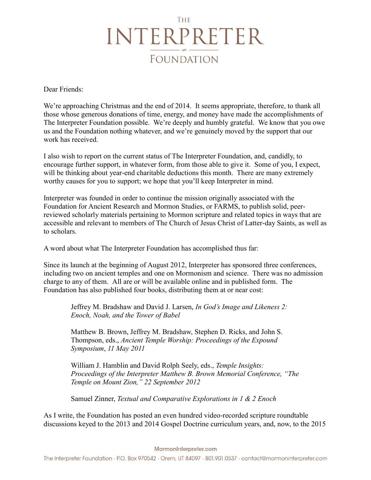## **THE** INTERPRETER **FOUNDATION**

Dear Friends:

We're approaching Christmas and the end of 2014. It seems appropriate, therefore, to thank all those whose generous donations of time, energy, and money have made the accomplishments of The Interpreter Foundation possible. We're deeply and humbly grateful. We know that you owe us and the Foundation nothing whatever, and we're genuinely moved by the support that our work has received.

I also wish to report on the current status of The Interpreter Foundation, and, candidly, to encourage further support, in whatever form, from those able to give it. Some of you, I expect, will be thinking about year-end charitable deductions this month. There are many extremely worthy causes for you to support; we hope that you'll keep Interpreter in mind.

Interpreter was founded in order to continue the mission originally associated with the Foundation for Ancient Research and Mormon Studies, or FARMS, to publish solid, peerreviewed scholarly materials pertaining to Mormon scripture and related topics in ways that are accessible and relevant to members of The Church of Jesus Christ of Latter-day Saints, as well as to scholars.

A word about what The Interpreter Foundation has accomplished thus far:

Since its launch at the beginning of August 2012, Interpreter has sponsored three conferences, including two on ancient temples and one on Mormonism and science. There was no admission charge to any of them. All are or will be available online and in published form. The Foundation has also published four books, distributing them at or near cost:

Jeffrey M. Bradshaw and David J. Larsen, *In God's Image and Likeness 2: Enoch, Noah, and the Tower of Babel*

Matthew B. Brown, Jeffrey M. Bradshaw, Stephen D. Ricks, and John S. Thompson, eds., *Ancient Temple Worship: Proceedings of the Expound Symposium*, *11 May 2011*

William J. Hamblin and David Rolph Seely, eds., *Temple Insights: Proceedings of the Interpreter Matthew B. Brown Memorial Conference, "The Temple on Mount Zion," 22 September 2012*

Samuel Zinner, *Textual and Comparative Explorations in 1 & 2 Enoch*

As I write, the Foundation has posted an even hundred video-recorded scripture roundtable discussions keyed to the 2013 and 2014 Gospel Doctrine curriculum years, and, now, to the 2015

The Interpreter Foundation · P.O. Box 970542 · Orem, UT 84097 · 801.901.0537 · contact@mormoninterpreter.com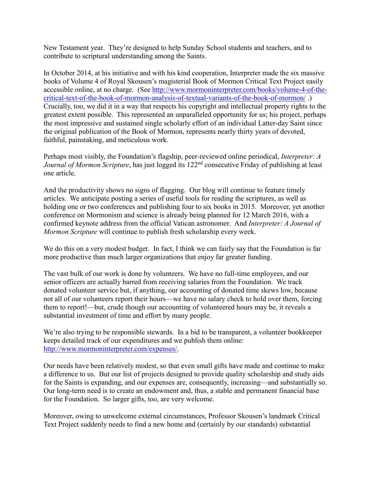New Testament year. They're designed to help Sunday School students and teachers, and to contribute to scriptural understanding among the Saints.

In October 2014, at his initiative and with his kind cooperation, Interpreter made the six massive books of Volume 4 of Royal Skousen's magisterial Book of Mormon Critical Text Project easily accessible online, at no charge. (See [http://www.mormoninterpreter.com/books/volume-4-of-the](http://www.mormoninterpreter.com/books/volume-4-of-the-critical-text-of-the-book-of-mormon-analysis-of-textual-variants-of-the-book-of-mormon/)[critical-text-of-the-book-of-mormon-analysis-of-textual-variants-of-the-book-of-mormon/](http://www.mormoninterpreter.com/books/volume-4-of-the-critical-text-of-the-book-of-mormon-analysis-of-textual-variants-of-the-book-of-mormon/) .) Crucially, too, we did it in a way that respects his copyright and intellectual property rights to the greatest extent possible. This represented an unparalleled opportunity for us; his project, perhaps the most impressive and sustained single scholarly effort of an individual Latter-day Saint since the original publication of the Book of Mormon, represents nearly thirty years of devoted, faithful, painstaking, and meticulous work.

Perhaps most visibly, the Foundation's flagship, peer-reviewed online periodical, *Interpreter: A Journal of Mormon Scripture*, has just logged its 122<sup>nd</sup> consecutive Friday of publishing at least one article.

And the productivity shows no signs of flagging. Our blog will continue to feature timely articles. We anticipate posting a series of useful tools for reading the scriptures, as well as holding one or two conferences and publishing four to six books in 2015. Moreover, yet another conference on Mormonism and science is already being planned for 12 March 2016, with a confirmed keynote address from the official Vatican astronomer. And *Interpreter: A Journal of Mormon Scripture* will continue to publish fresh scholarship every week.

We do this on a very modest budget. In fact, I think we can fairly say that the Foundation is far more productive than much larger organizations that enjoy far greater funding.

The vast bulk of our work is done by volunteers. We have no full-time employees, and our senior officers are actually barred from receiving salaries from the Foundation. We track donated volunteer service but, if anything, our accounting of donated time skews low, because not all of our volunteers report their hours—we have no salary check to hold over them, forcing them to report!—but, crude though our accounting of volunteered hours may be, it reveals a substantial investment of time and effort by many people.

We're also trying to be responsible stewards. In a bid to be transparent, a volunteer bookkeeper keeps detailed track of our expenditures and we publish them online: [http://www.mormoninterpreter.com/expenses/.](http://www.mormoninterpreter.com/expenses/)

Our needs have been relatively modest, so that even small gifts have made and continue to make a difference to us. But our list of projects designed to provide quality scholarship and study aids for the Saints is expanding, and our expenses are, consequently, increasing—and substantially so. Our long-term need is to create an endowment and, thus, a stable and permanent financial base for the Foundation. So larger gifts, too, are very welcome.

Moreover, owing to unwelcome external circumstances, Professor Skousen's landmark Critical Text Project suddenly needs to find a new home and (certainly by our standards) substantial